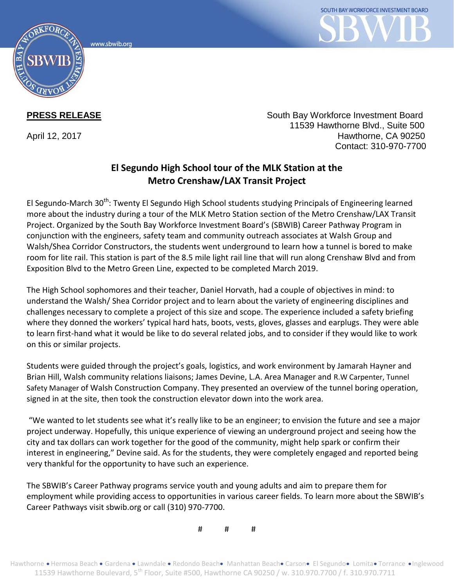www.sbwib.ord



**PRESS RELEASE** South Bay Workforce Investment Board 11539 Hawthorne Blvd., Suite 500 April 12, 2017 **Hawthorne, CA 90250** Contact: 310-970-7700

## **El Segundo High School tour of the MLK Station at the Metro Crenshaw/LAX Transit Project**

El Segundo-March 30<sup>th</sup>: Twenty El Segundo High School students studying Principals of Engineering learned more about the industry during a tour of the MLK Metro Station section of the Metro Crenshaw/LAX Transit Project. Organized by the South Bay Workforce Investment Board's (SBWIB) Career Pathway Program in conjunction with the engineers, safety team and community outreach associates at Walsh Group and Walsh/Shea Corridor Constructors, the students went underground to learn how a tunnel is bored to make room for lite rail. This station is part of the 8.5 mile light rail line that will run along Crenshaw Blvd and from Exposition Blvd to the Metro Green Line, expected to be completed March 2019.

The High School sophomores and their teacher, Daniel Horvath, had a couple of objectives in mind: to understand the Walsh/ Shea Corridor project and to learn about the variety of engineering disciplines and challenges necessary to complete a project of this size and scope. The experience included a safety briefing where they donned the workers' typical hard hats, boots, vests, gloves, glasses and earplugs. They were able to learn first-hand what it would be like to do several related jobs, and to consider if they would like to work on this or similar projects.

Students were guided through the project's goals, logistics, and work environment by Jamarah Hayner and Brian Hill, Walsh community relations liaisons; James Devine, L.A. Area Manager and R.W Carpenter, Tunnel Safety Manager of Walsh Construction Company. They presented an overview of the tunnel boring operation, signed in at the site, then took the construction elevator down into the work area.

"We wanted to let students see what it's really like to be an engineer; to envision the future and see a major project underway. Hopefully, this unique experience of viewing an underground project and seeing how the city and tax dollars can work together for the good of the community, might help spark or confirm their interest in engineering," Devine said. As for the students, they were completely engaged and reported being very thankful for the opportunity to have such an experience.

The SBWIB's Career Pathway programs service youth and young adults and aim to prepare them for employment while providing access to opportunities in various career fields. To learn more about the SBWIB's Career Pathways visit sbwib.org or call (310) 970-7700.

# # #